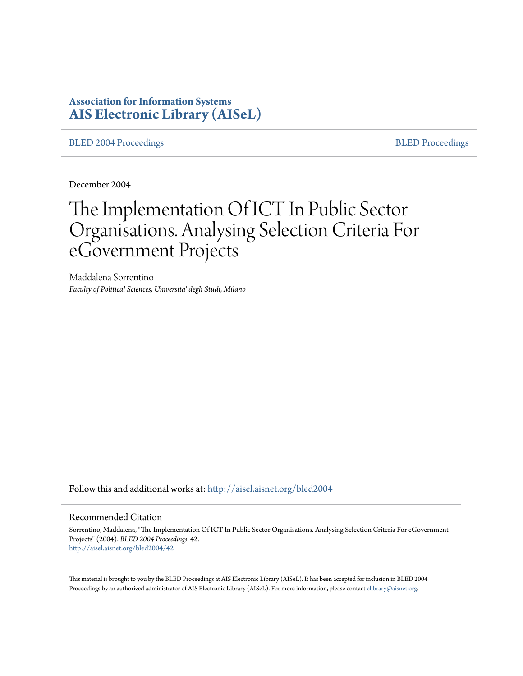# **Association for Information Systems [AIS Electronic Library \(AISeL\)](http://aisel.aisnet.org?utm_source=aisel.aisnet.org%2Fbled2004%2F42&utm_medium=PDF&utm_campaign=PDFCoverPages)**

[BLED 2004 Proceedings](http://aisel.aisnet.org/bled2004?utm_source=aisel.aisnet.org%2Fbled2004%2F42&utm_medium=PDF&utm_campaign=PDFCoverPages) and the state of the state of the [BLED Proceedings](http://aisel.aisnet.org/bled?utm_source=aisel.aisnet.org%2Fbled2004%2F42&utm_medium=PDF&utm_campaign=PDFCoverPages) and the BLED Proceedings and the BLED Proceedings and the BLED Proceedings and the BLED Proceedings and the BLED Proceedings and the BLED Proceedings

December 2004

# The Implementation Of ICT In Public Sector Organisations. Analysing Selection Criteria For eGovernment Projects

Maddalena Sorrentino *Faculty of Political Sciences, Universita' degli Studi, Milano*

Follow this and additional works at: [http://aisel.aisnet.org/bled2004](http://aisel.aisnet.org/bled2004?utm_source=aisel.aisnet.org%2Fbled2004%2F42&utm_medium=PDF&utm_campaign=PDFCoverPages)

#### Recommended Citation

Sorrentino, Maddalena, "The Implementation Of ICT In Public Sector Organisations. Analysing Selection Criteria For eGovernment Projects" (2004). *BLED 2004 Proceedings*. 42. [http://aisel.aisnet.org/bled2004/42](http://aisel.aisnet.org/bled2004/42?utm_source=aisel.aisnet.org%2Fbled2004%2F42&utm_medium=PDF&utm_campaign=PDFCoverPages)

This material is brought to you by the BLED Proceedings at AIS Electronic Library (AISeL). It has been accepted for inclusion in BLED 2004 Proceedings by an authorized administrator of AIS Electronic Library (AISeL). For more information, please contact [elibrary@aisnet.org](mailto:elibrary@aisnet.org%3E).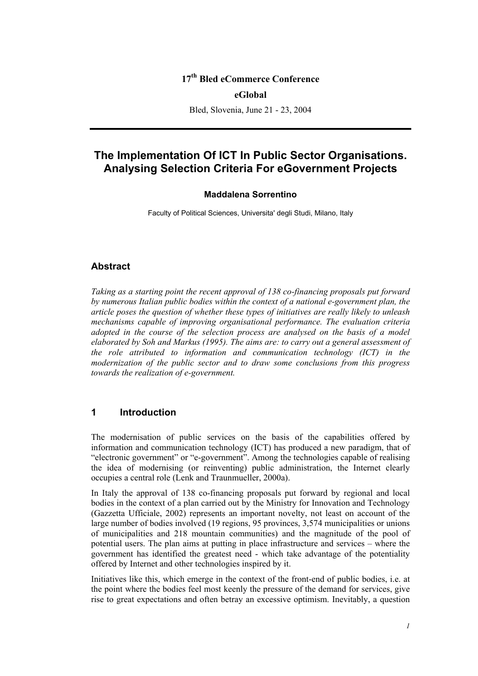## **17th Bled eCommerce Conference**

#### **eGlobal**

Bled, Slovenia, June 21 - 23, 2004

# **The Implementation Of ICT In Public Sector Organisations. Analysing Selection Criteria For eGovernment Projects**

#### **Maddalena Sorrentino**

Faculty of Political Sciences, Universita' degli Studi, Milano, Italy

#### **Abstract**

*Taking as a starting point the recent approval of 138 co-financing proposals put forward by numerous Italian public bodies within the context of a national e-government plan, the article poses the question of whether these types of initiatives are really likely to unleash mechanisms capable of improving organisational performance. The evaluation criteria adopted in the course of the selection process are analysed on the basis of a model elaborated by Soh and Markus (1995). The aims are: to carry out a general assessment of the role attributed to information and communication technology (ICT) in the modernization of the public sector and to draw some conclusions from this progress towards the realization of e-government.* 

#### **1 Introduction**

The modernisation of public services on the basis of the capabilities offered by information and communication technology (ICT) has produced a new paradigm, that of "electronic government" or "e-government". Among the technologies capable of realising the idea of modernising (or reinventing) public administration, the Internet clearly occupies a central role (Lenk and Traunmueller, 2000a).

In Italy the approval of 138 co-financing proposals put forward by regional and local bodies in the context of a plan carried out by the Ministry for Innovation and Technology (Gazzetta Ufficiale, 2002) represents an important novelty, not least on account of the large number of bodies involved (19 regions, 95 provinces, 3,574 municipalities or unions of municipalities and 218 mountain communities) and the magnitude of the pool of potential users. The plan aims at putting in place infrastructure and services – where the government has identified the greatest need - which take advantage of the potentiality offered by Internet and other technologies inspired by it.

Initiatives like this, which emerge in the context of the front-end of public bodies, i.e. at the point where the bodies feel most keenly the pressure of the demand for services, give rise to great expectations and often betray an excessive optimism. Inevitably, a question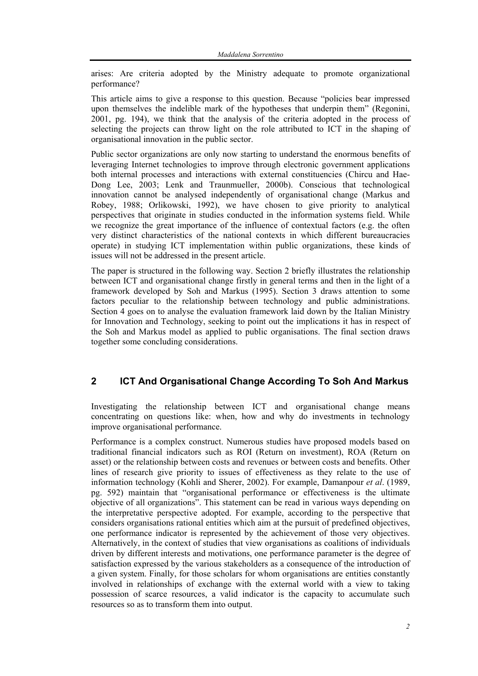arises: Are criteria adopted by the Ministry adequate to promote organizational performance?

This article aims to give a response to this question. Because "policies bear impressed upon themselves the indelible mark of the hypotheses that underpin them" (Regonini, 2001, pg. 194), we think that the analysis of the criteria adopted in the process of selecting the projects can throw light on the role attributed to ICT in the shaping of organisational innovation in the public sector.

Public sector organizations are only now starting to understand the enormous benefits of leveraging Internet technologies to improve through electronic government applications both internal processes and interactions with external constituencies (Chircu and Hae-Dong Lee, 2003; Lenk and Traunmueller, 2000b). Conscious that technological innovation cannot be analysed independently of organisational change (Markus and Robey, 1988; Orlikowski, 1992), we have chosen to give priority to analytical perspectives that originate in studies conducted in the information systems field. While we recognize the great importance of the influence of contextual factors (e.g. the often very distinct characteristics of the national contexts in which different bureaucracies operate) in studying ICT implementation within public organizations, these kinds of issues will not be addressed in the present article.

The paper is structured in the following way. Section 2 briefly illustrates the relationship between ICT and organisational change firstly in general terms and then in the light of a framework developed by Soh and Markus (1995). Section 3 draws attention to some factors peculiar to the relationship between technology and public administrations. Section 4 goes on to analyse the evaluation framework laid down by the Italian Ministry for Innovation and Technology, seeking to point out the implications it has in respect of the Soh and Markus model as applied to public organisations. The final section draws together some concluding considerations.

# **2 ICT And Organisational Change According To Soh And Markus**

Investigating the relationship between ICT and organisational change means concentrating on questions like: when, how and why do investments in technology improve organisational performance.

Performance is a complex construct. Numerous studies have proposed models based on traditional financial indicators such as ROI (Return on investment), ROA (Return on asset) or the relationship between costs and revenues or between costs and benefits. Other lines of research give priority to issues of effectiveness as they relate to the use of information technology (Kohli and Sherer, 2002). For example, Damanpour *et al*. (1989, pg. 592) maintain that "organisational performance or effectiveness is the ultimate objective of all organizations". This statement can be read in various ways depending on the interpretative perspective adopted. For example, according to the perspective that considers organisations rational entities which aim at the pursuit of predefined objectives, one performance indicator is represented by the achievement of those very objectives. Alternatively, in the context of studies that view organisations as coalitions of individuals driven by different interests and motivations, one performance parameter is the degree of satisfaction expressed by the various stakeholders as a consequence of the introduction of a given system. Finally, for those scholars for whom organisations are entities constantly involved in relationships of exchange with the external world with a view to taking possession of scarce resources, a valid indicator is the capacity to accumulate such resources so as to transform them into output.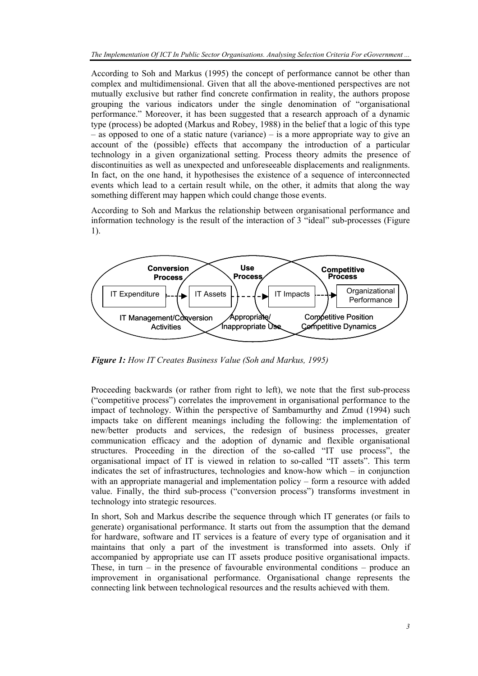According to Soh and Markus (1995) the concept of performance cannot be other than complex and multidimensional. Given that all the above-mentioned perspectives are not mutually exclusive but rather find concrete confirmation in reality, the authors propose grouping the various indicators under the single denomination of "organisational performance." Moreover, it has been suggested that a research approach of a dynamic type (process) be adopted (Markus and Robey, 1988) in the belief that a logic of this type – as opposed to one of a static nature (variance) – is a more appropriate way to give an account of the (possible) effects that accompany the introduction of a particular technology in a given organizational setting. Process theory admits the presence of discontinuities as well as unexpected and unforeseeable displacements and realignments. In fact, on the one hand, it hypothesises the existence of a sequence of interconnected events which lead to a certain result while, on the other, it admits that along the way something different may happen which could change those events.

According to Soh and Markus the relationship between organisational performance and information technology is the result of the interaction of 3 "ideal" sub-processes (Figure 1).



*Figure 1: How IT Creates Business Value (Soh and Markus, 1995)* 

Proceeding backwards (or rather from right to left), we note that the first sub-process ("competitive process") correlates the improvement in organisational performance to the impact of technology. Within the perspective of Sambamurthy and Zmud (1994) such impacts take on different meanings including the following: the implementation of new/better products and services, the redesign of business processes, greater communication efficacy and the adoption of dynamic and flexible organisational structures. Proceeding in the direction of the so-called "IT use process", the organisational impact of IT is viewed in relation to so-called "IT assets". This term indicates the set of infrastructures, technologies and know-how which – in conjunction with an appropriate managerial and implementation policy – form a resource with added value. Finally, the third sub-process ("conversion process") transforms investment in technology into strategic resources.

In short, Soh and Markus describe the sequence through which IT generates (or fails to generate) organisational performance. It starts out from the assumption that the demand for hardware, software and IT services is a feature of every type of organisation and it maintains that only a part of the investment is transformed into assets. Only if accompanied by appropriate use can IT assets produce positive organisational impacts. These, in turn – in the presence of favourable environmental conditions – produce an improvement in organisational performance. Organisational change represents the connecting link between technological resources and the results achieved with them.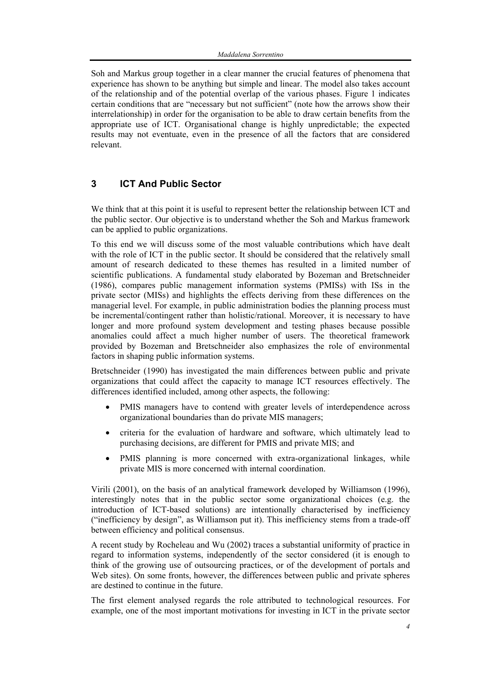Soh and Markus group together in a clear manner the crucial features of phenomena that experience has shown to be anything but simple and linear. The model also takes account of the relationship and of the potential overlap of the various phases. Figure 1 indicates certain conditions that are "necessary but not sufficient" (note how the arrows show their interrelationship) in order for the organisation to be able to draw certain benefits from the appropriate use of ICT. Organisational change is highly unpredictable; the expected results may not eventuate, even in the presence of all the factors that are considered relevant.

# **3 ICT And Public Sector**

We think that at this point it is useful to represent better the relationship between ICT and the public sector. Our objective is to understand whether the Soh and Markus framework can be applied to public organizations.

To this end we will discuss some of the most valuable contributions which have dealt with the role of ICT in the public sector. It should be considered that the relatively small amount of research dedicated to these themes has resulted in a limited number of scientific publications. A fundamental study elaborated by Bozeman and Bretschneider (1986), compares public management information systems (PMISs) with ISs in the private sector (MISs) and highlights the effects deriving from these differences on the managerial level. For example, in public administration bodies the planning process must be incremental/contingent rather than holistic/rational. Moreover, it is necessary to have longer and more profound system development and testing phases because possible anomalies could affect a much higher number of users. The theoretical framework provided by Bozeman and Bretschneider also emphasizes the role of environmental factors in shaping public information systems.

Bretschneider (1990) has investigated the main differences between public and private organizations that could affect the capacity to manage ICT resources effectively. The differences identified included, among other aspects, the following:

- PMIS managers have to contend with greater levels of interdependence across organizational boundaries than do private MIS managers;
- criteria for the evaluation of hardware and software, which ultimately lead to purchasing decisions, are different for PMIS and private MIS; and
- PMIS planning is more concerned with extra-organizational linkages, while private MIS is more concerned with internal coordination.

Virili (2001), on the basis of an analytical framework developed by Williamson (1996), interestingly notes that in the public sector some organizational choices (e.g. the introduction of ICT-based solutions) are intentionally characterised by inefficiency ("inefficiency by design", as Williamson put it). This inefficiency stems from a trade-off between efficiency and political consensus.

A recent study by Rocheleau and Wu (2002) traces a substantial uniformity of practice in regard to information systems, independently of the sector considered (it is enough to think of the growing use of outsourcing practices, or of the development of portals and Web sites). On some fronts, however, the differences between public and private spheres are destined to continue in the future.

The first element analysed regards the role attributed to technological resources. For example, one of the most important motivations for investing in ICT in the private sector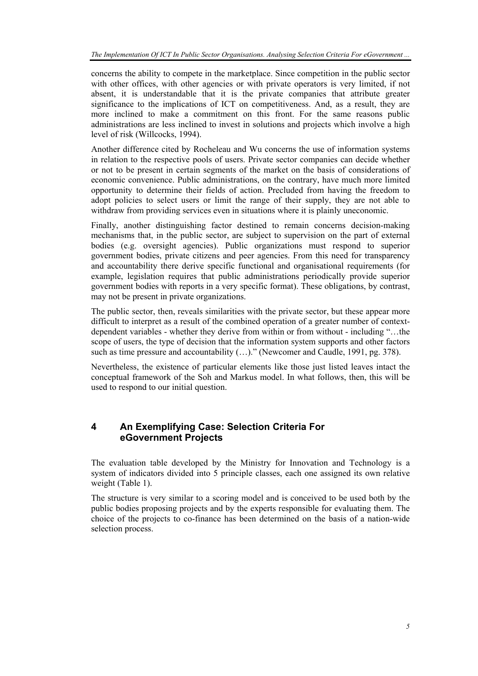concerns the ability to compete in the marketplace. Since competition in the public sector with other offices, with other agencies or with private operators is very limited, if not absent, it is understandable that it is the private companies that attribute greater significance to the implications of ICT on competitiveness. And, as a result, they are more inclined to make a commitment on this front. For the same reasons public administrations are less inclined to invest in solutions and projects which involve a high level of risk (Willcocks, 1994).

Another difference cited by Rocheleau and Wu concerns the use of information systems in relation to the respective pools of users. Private sector companies can decide whether or not to be present in certain segments of the market on the basis of considerations of economic convenience. Public administrations, on the contrary, have much more limited opportunity to determine their fields of action. Precluded from having the freedom to adopt policies to select users or limit the range of their supply, they are not able to withdraw from providing services even in situations where it is plainly uneconomic.

Finally, another distinguishing factor destined to remain concerns decision-making mechanisms that, in the public sector, are subject to supervision on the part of external bodies (e.g. oversight agencies). Public organizations must respond to superior government bodies, private citizens and peer agencies. From this need for transparency and accountability there derive specific functional and organisational requirements (for example, legislation requires that public administrations periodically provide superior government bodies with reports in a very specific format). These obligations, by contrast, may not be present in private organizations.

The public sector, then, reveals similarities with the private sector, but these appear more difficult to interpret as a result of the combined operation of a greater number of contextdependent variables - whether they derive from within or from without - including "…the scope of users, the type of decision that the information system supports and other factors such as time pressure and accountability (…)." (Newcomer and Caudle, 1991, pg. 378).

Nevertheless, the existence of particular elements like those just listed leaves intact the conceptual framework of the Soh and Markus model. In what follows, then, this will be used to respond to our initial question.

# **4 An Exemplifying Case: Selection Criteria For eGovernment Projects**

The evaluation table developed by the Ministry for Innovation and Technology is a system of indicators divided into 5 principle classes, each one assigned its own relative weight (Table 1).

The structure is very similar to a scoring model and is conceived to be used both by the public bodies proposing projects and by the experts responsible for evaluating them. The choice of the projects to co-finance has been determined on the basis of a nation-wide selection process.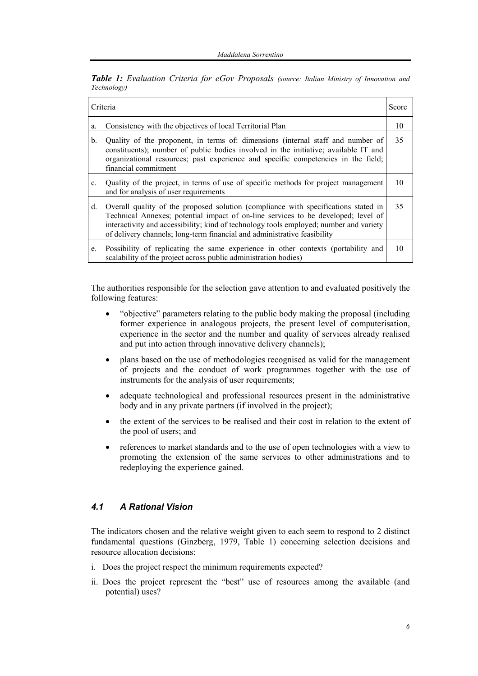*Table 1: Evaluation Criteria for eGov Proposals (source: Italian Ministry of Innovation and Technology)* 

| Criteria       |                                                                                                                                                                                                                                                                                                                                               | Score |
|----------------|-----------------------------------------------------------------------------------------------------------------------------------------------------------------------------------------------------------------------------------------------------------------------------------------------------------------------------------------------|-------|
| a.             | Consistency with the objectives of local Territorial Plan                                                                                                                                                                                                                                                                                     | 10    |
| b.             | Quality of the proponent, in terms of: dimensions (internal staff and number of<br>constituents); number of public bodies involved in the initiative; available IT and<br>organizational resources; past experience and specific competencies in the field;<br>financial commitment                                                           | 35    |
| $\mathbf{c}$ . | Quality of the project, in terms of use of specific methods for project management<br>and for analysis of user requirements                                                                                                                                                                                                                   | 10    |
| d.             | Overall quality of the proposed solution (compliance with specifications stated in<br>Technical Annexes; potential impact of on-line services to be developed; level of<br>interactivity and accessibility; kind of technology tools employed; number and variety<br>of delivery channels; long-term financial and administrative feasibility | 35    |
| e.             | Possibility of replicating the same experience in other contexts (portability and<br>scalability of the project across public administration bodies)                                                                                                                                                                                          | 10    |

The authorities responsible for the selection gave attention to and evaluated positively the following features:

- "objective" parameters relating to the public body making the proposal (including former experience in analogous projects, the present level of computerisation, experience in the sector and the number and quality of services already realised and put into action through innovative delivery channels);
- plans based on the use of methodologies recognised as valid for the management of projects and the conduct of work programmes together with the use of instruments for the analysis of user requirements;
- adequate technological and professional resources present in the administrative body and in any private partners (if involved in the project);
- the extent of the services to be realised and their cost in relation to the extent of the pool of users; and
- references to market standards and to the use of open technologies with a view to promoting the extension of the same services to other administrations and to redeploying the experience gained.

### *4.1 A Rational Vision*

The indicators chosen and the relative weight given to each seem to respond to 2 distinct fundamental questions (Ginzberg, 1979, Table 1) concerning selection decisions and resource allocation decisions:

- i. Does the project respect the minimum requirements expected?
- ii. Does the project represent the "best" use of resources among the available (and potential) uses?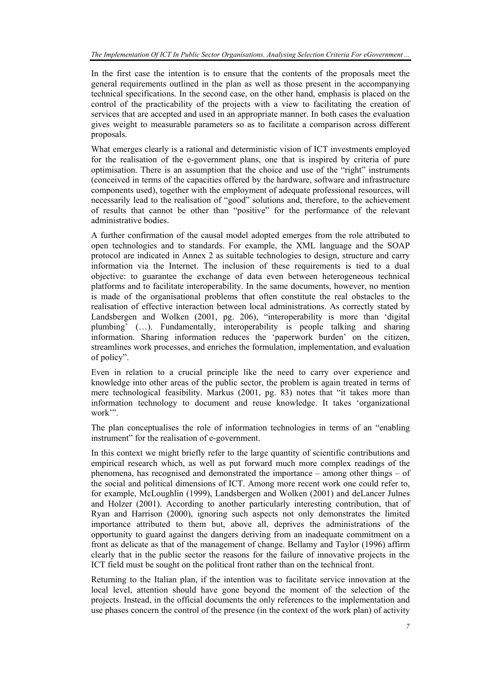In the first case the intention is to ensure that the contents of the proposals meet the general requirements outlined in the plan as well as those present in the accompanying technical specifications. In the second case, on the other hand, emphasis is placed on the control of the practicability of the projects with a view to facilitating the creation of services that are accepted and used in an appropriate manner. In both cases the evaluation gives weight to measurable parameters so as to facilitate a comparison across different proposals.

What emerges clearly is a rational and deterministic vision of ICT investments employed for the realisation of the e-government plans, one that is inspired by criteria of pure optimisation. There is an assumption that the choice and use of the "right" instruments (conceived in terms of the capacities offered by the hardware, software and infrastructure components used), together with the employment of adequate professional resources, will necessarily lead to the realisation of "good" solutions and, therefore, to the achievement of results that cannot be other than "positive" for the performance of the relevant administrative bodies.

A further confirmation of the causal model adopted emerges from the role attributed to open technologies and to standards. For example, the XML language and the SOAP protocol are indicated in Annex 2 as suitable technologies to design, structure and carry information via the Internet. The inclusion of these requirements is tied to a dual objective: to guarantee the exchange of data even between heterogeneous technical platforms and to facilitate interoperability. In the same documents, however, no mention is made of the organisational problems that often constitute the real obstacles to the realisation of effective interaction between local administrations. As correctly stated by Landsbergen and Wolken (2001, pg. 206), "interoperability is more than 'digital plumbing' (…). Fundamentally, interoperability is people talking and sharing information. Sharing information reduces the 'paperwork burden' on the citizen, streamlines work processes, and enriches the formulation, implementation, and evaluation of policy".

Even in relation to a crucial principle like the need to carry over experience and knowledge into other areas of the public sector, the problem is again treated in terms of mere technological feasibility. Markus (2001, pg. 83) notes that "it takes more than information technology to document and reuse knowledge. It takes 'organizational work'".

The plan conceptualises the role of information technologies in terms of an "enabling instrument" for the realisation of e-government.

In this context we might briefly refer to the large quantity of scientific contributions and empirical research which, as well as put forward much more complex readings of the phenomena, has recognised and demonstrated the importance – among other things – of the social and political dimensions of ICT. Among more recent work one could refer to, for example, McLoughlin (1999), Landsbergen and Wolken (2001) and deLancer Julnes and Holzer (2001). According to another particularly interesting contribution, that of Ryan and Harrison (2000), ignoring such aspects not only demonstrates the limited importance attributed to them but, above all, deprives the administrations of the opportunity to guard against the dangers deriving from an inadequate commitment on a front as delicate as that of the management of change. Bellamy and Taylor (1996) affirm clearly that in the public sector the reasons for the failure of innovative projects in the ICT field must be sought on the political front rather than on the technical front.

Returning to the Italian plan, if the intention was to facilitate service innovation at the local level, attention should have gone beyond the moment of the selection of the projects. Instead, in the official documents the only references to the implementation and use phases concern the control of the presence (in the context of the work plan) of activity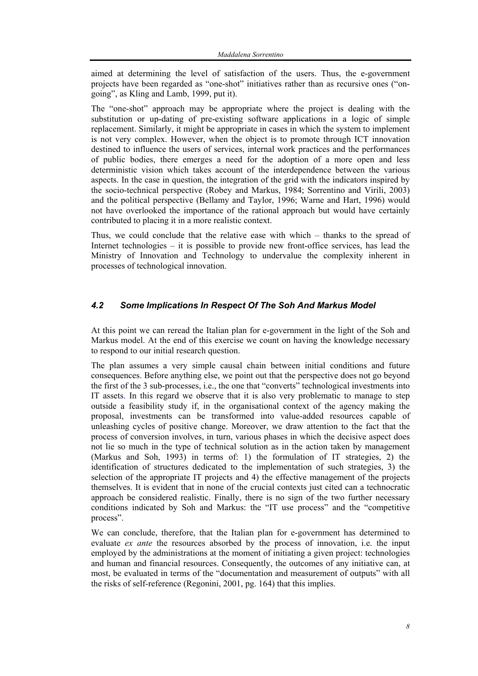aimed at determining the level of satisfaction of the users. Thus, the e-government projects have been regarded as "one-shot" initiatives rather than as recursive ones ("ongoing", as Kling and Lamb, 1999, put it).

The "one-shot" approach may be appropriate where the project is dealing with the substitution or up-dating of pre-existing software applications in a logic of simple replacement. Similarly, it might be appropriate in cases in which the system to implement is not very complex. However, when the object is to promote through ICT innovation destined to influence the users of services, internal work practices and the performances of public bodies, there emerges a need for the adoption of a more open and less deterministic vision which takes account of the interdependence between the various aspects. In the case in question, the integration of the grid with the indicators inspired by the socio-technical perspective (Robey and Markus, 1984; Sorrentino and Virili, 2003) and the political perspective (Bellamy and Taylor, 1996; Warne and Hart, 1996) would not have overlooked the importance of the rational approach but would have certainly contributed to placing it in a more realistic context.

Thus, we could conclude that the relative ease with which – thanks to the spread of Internet technologies – it is possible to provide new front-office services, has lead the Ministry of Innovation and Technology to undervalue the complexity inherent in processes of technological innovation.

## *4.2 Some Implications In Respect Of The Soh And Markus Model*

At this point we can reread the Italian plan for e-government in the light of the Soh and Markus model. At the end of this exercise we count on having the knowledge necessary to respond to our initial research question.

The plan assumes a very simple causal chain between initial conditions and future consequences. Before anything else, we point out that the perspective does not go beyond the first of the 3 sub-processes, i.e., the one that "converts" technological investments into IT assets. In this regard we observe that it is also very problematic to manage to step outside a feasibility study if, in the organisational context of the agency making the proposal, investments can be transformed into value-added resources capable of unleashing cycles of positive change. Moreover, we draw attention to the fact that the process of conversion involves, in turn, various phases in which the decisive aspect does not lie so much in the type of technical solution as in the action taken by management (Markus and Soh, 1993) in terms of: 1) the formulation of IT strategies, 2) the identification of structures dedicated to the implementation of such strategies, 3) the selection of the appropriate IT projects and 4) the effective management of the projects themselves. It is evident that in none of the crucial contexts just cited can a technocratic approach be considered realistic. Finally, there is no sign of the two further necessary conditions indicated by Soh and Markus: the "IT use process" and the "competitive process".

We can conclude, therefore, that the Italian plan for e-government has determined to evaluate *ex ante* the resources absorbed by the process of innovation, i.e. the input employed by the administrations at the moment of initiating a given project: technologies and human and financial resources. Consequently, the outcomes of any initiative can, at most, be evaluated in terms of the "documentation and measurement of outputs" with all the risks of self-reference (Regonini, 2001, pg. 164) that this implies.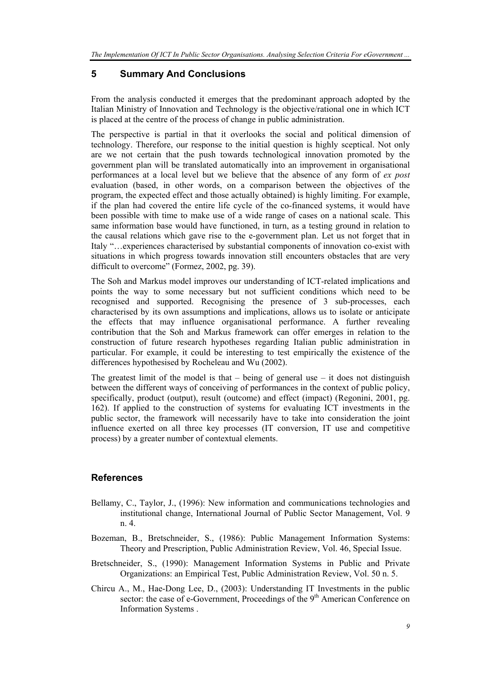# **5 Summary And Conclusions**

From the analysis conducted it emerges that the predominant approach adopted by the Italian Ministry of Innovation and Technology is the objective/rational one in which ICT is placed at the centre of the process of change in public administration.

The perspective is partial in that it overlooks the social and political dimension of technology. Therefore, our response to the initial question is highly sceptical. Not only are we not certain that the push towards technological innovation promoted by the government plan will be translated automatically into an improvement in organisational performances at a local level but we believe that the absence of any form of *ex post* evaluation (based, in other words, on a comparison between the objectives of the program, the expected effect and those actually obtained) is highly limiting. For example, if the plan had covered the entire life cycle of the co-financed systems, it would have been possible with time to make use of a wide range of cases on a national scale. This same information base would have functioned, in turn, as a testing ground in relation to the causal relations which gave rise to the e-government plan. Let us not forget that in Italy "…experiences characterised by substantial components of innovation co-exist with situations in which progress towards innovation still encounters obstacles that are very difficult to overcome" (Formez, 2002, pg. 39).

The Soh and Markus model improves our understanding of ICT-related implications and points the way to some necessary but not sufficient conditions which need to be recognised and supported. Recognising the presence of 3 sub-processes, each characterised by its own assumptions and implications, allows us to isolate or anticipate the effects that may influence organisational performance. A further revealing contribution that the Soh and Markus framework can offer emerges in relation to the construction of future research hypotheses regarding Italian public administration in particular. For example, it could be interesting to test empirically the existence of the differences hypothesised by Rocheleau and Wu (2002).

The greatest limit of the model is that  $-$  being of general use  $-$  it does not distinguish between the different ways of conceiving of performances in the context of public policy, specifically, product (output), result (outcome) and effect (impact) (Regonini, 2001, pg. 162). If applied to the construction of systems for evaluating ICT investments in the public sector, the framework will necessarily have to take into consideration the joint influence exerted on all three key processes (IT conversion, IT use and competitive process) by a greater number of contextual elements.

# **References**

- Bellamy, C., Taylor, J., (1996): New information and communications technologies and institutional change, International Journal of Public Sector Management, Vol. 9 n. 4.
- Bozeman, B., Bretschneider, S., (1986): Public Management Information Systems: Theory and Prescription, Public Administration Review, Vol. 46, Special Issue.
- Bretschneider, S., (1990): Management Information Systems in Public and Private Organizations: an Empirical Test, Public Administration Review, Vol. 50 n. 5.
- Chircu A., M., Hae-Dong Lee, D., (2003): Understanding IT Investments in the public sector: the case of e-Government, Proceedings of the 9<sup>th</sup> American Conference on Information Systems .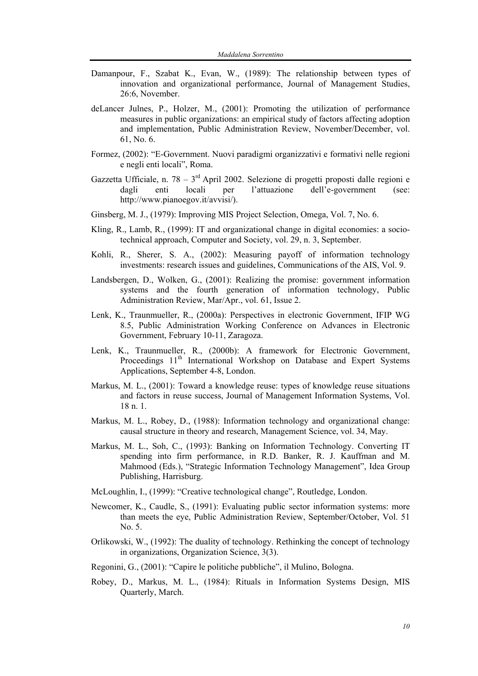- Damanpour, F., Szabat K., Evan, W., (1989): The relationship between types of innovation and organizational performance, Journal of Management Studies, 26:6, November.
- deLancer Julnes, P., Holzer, M., (2001): Promoting the utilization of performance measures in public organizations: an empirical study of factors affecting adoption and implementation, Public Administration Review, November/December, vol. 61, No. 6.
- Formez, (2002): "E-Government. Nuovi paradigmi organizzativi e formativi nelle regioni e negli enti locali", Roma.
- Gazzetta Ufficiale, n. 78  $3<sup>rd</sup>$  April 2002. Selezione di progetti proposti dalle regioni e dagli enti locali per l'attuazione dell'e-government (see: http://www.pianoegov.it/avvisi/).
- Ginsberg, M. J., (1979): Improving MIS Project Selection, Omega, Vol. 7, No. 6.
- Kling, R., Lamb, R., (1999): IT and organizational change in digital economies: a sociotechnical approach, Computer and Society, vol. 29, n. 3, September.
- Kohli, R., Sherer, S. A., (2002): Measuring payoff of information technology investments: research issues and guidelines, Communications of the AIS, Vol. 9.
- Landsbergen, D., Wolken, G., (2001): Realizing the promise: government information systems and the fourth generation of information technology, Public Administration Review, Mar/Apr., vol. 61, Issue 2.
- Lenk, K., Traunmueller, R., (2000a): Perspectives in electronic Government, IFIP WG 8.5, Public Administration Working Conference on Advances in Electronic Government, February 10-11, Zaragoza.
- Lenk, K., Traunmueller, R., (2000b): A framework for Electronic Government, Proceedings 11<sup>th</sup> International Workshop on Database and Expert Systems Applications, September 4-8, London.
- Markus, M. L., (2001): Toward a knowledge reuse: types of knowledge reuse situations and factors in reuse success, Journal of Management Information Systems, Vol. 18 n. 1.
- Markus, M. L., Robey, D., (1988): Information technology and organizational change: causal structure in theory and research, Management Science, vol. 34, May.
- Markus, M. L., Soh, C., (1993): Banking on Information Technology. Converting IT spending into firm performance, in R.D. Banker, R. J. Kauffman and M. Mahmood (Eds.), "Strategic Information Technology Management", Idea Group Publishing, Harrisburg.
- McLoughlin, I., (1999): "Creative technological change", Routledge, London.
- Newcomer, K., Caudle, S., (1991): Evaluating public sector information systems: more than meets the eye, Public Administration Review, September/October, Vol. 51 No. 5.
- Orlikowski, W., (1992): The duality of technology. Rethinking the concept of technology in organizations, Organization Science, 3(3).
- Regonini, G., (2001): "Capire le politiche pubbliche", il Mulino, Bologna.
- Robey, D., Markus, M. L., (1984): Rituals in Information Systems Design, MIS Quarterly, March.